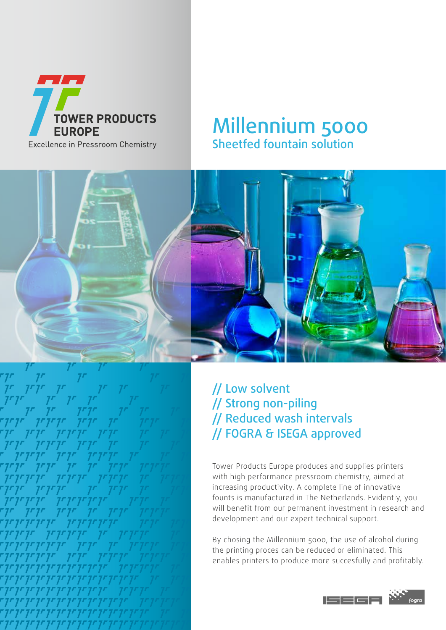

## Millennium 5000 Sheetfed fountain solution



// Low solvent // Strong non-piling // Reduced wash intervals // FOGRA & ISEGA approved

Tower Products Europe produces and supplies printers with high performance pressroom chemistry, aimed at increasing productivity. A complete line of innovative founts is manufactured in The Netherlands. Evidently, you will benefit from our permanent investment in research and development and our expert technical support.

By chosing the Millennium 5000, the use of alcohol during the printing proces can be reduced or eliminated. This enables printers to produce more succesfully and profitably.